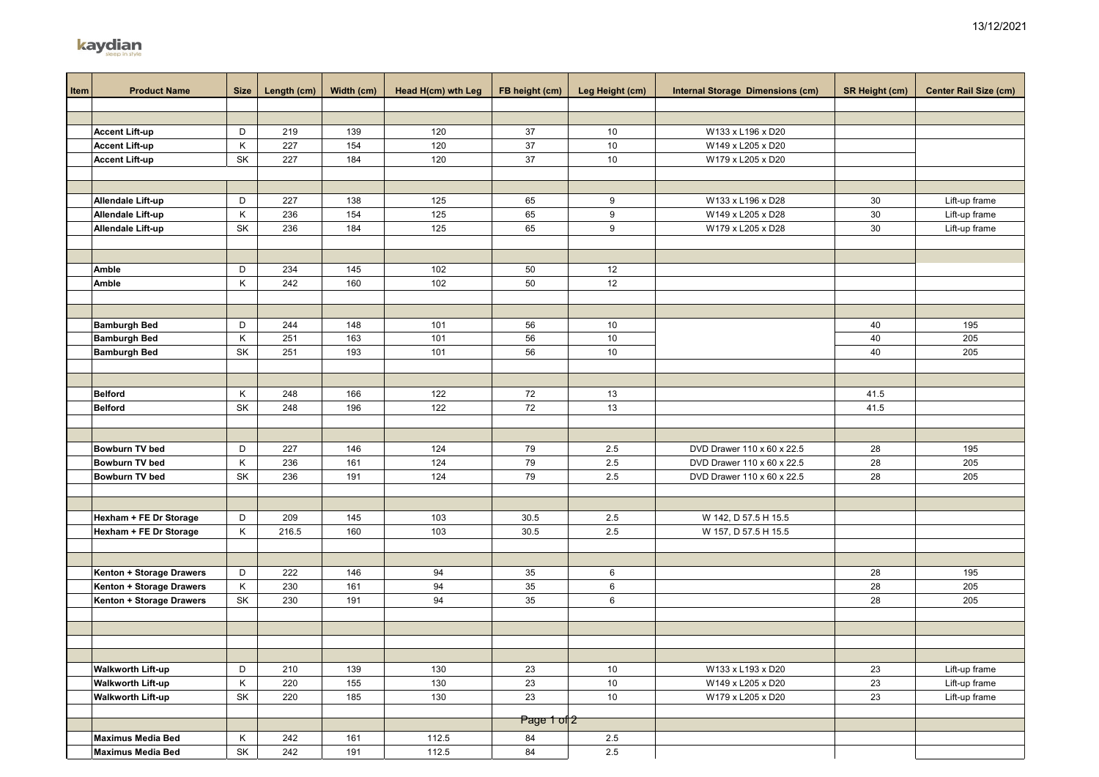|             | sleep in style                                       |      |             |            |                    |                |                 |                                         |                       |                              |
|-------------|------------------------------------------------------|------|-------------|------------|--------------------|----------------|-----------------|-----------------------------------------|-----------------------|------------------------------|
|             |                                                      |      |             |            |                    |                |                 |                                         |                       |                              |
| <b>Item</b> | <b>Product Name</b>                                  | Size | Length (cm) | Width (cm) | Head H(cm) wth Leg | FB height (cm) | Leg Height (cm) | <b>Internal Storage Dimensions (cm)</b> | <b>SR Height (cm)</b> | <b>Center Rail Size (cm)</b> |
|             |                                                      |      |             |            |                    |                |                 |                                         |                       |                              |
|             |                                                      |      |             |            |                    |                |                 |                                         |                       |                              |
|             | <b>Accent Lift-up</b>                                | D    | 219         | 139        | 120                | 37             | 10              | W133 x L196 x D20                       |                       |                              |
|             | <b>Accent Lift-up</b>                                | Κ    | 227         | 154        | 120                | 37             | 10              | W149 x L205 x D20                       |                       |                              |
|             | <b>Accent Lift-up</b>                                | SK   | 227         | 184        | 120                | 37             | 10              | W179 x L205 x D20                       |                       |                              |
|             |                                                      |      |             |            |                    |                |                 |                                         |                       |                              |
|             |                                                      |      |             |            |                    |                |                 |                                         |                       |                              |
|             | <b>Allendale Lift-up</b>                             | D    | 227         | 138        | 125                | 65             | 9               | W133 x L196 x D28                       | 30                    | Lift-up frame                |
|             | Allendale Lift-up                                    | Κ    | 236         | 154        | 125                | 65             | 9               | W149 x L205 x D28                       | 30                    | Lift-up frame                |
|             | Allendale Lift-up                                    | SK   | 236         | 184        | 125                | 65             | 9               | W179 x L205 x D28                       | 30                    | Lift-up frame                |
|             |                                                      |      |             |            |                    |                |                 |                                         |                       |                              |
|             |                                                      |      |             |            |                    |                |                 |                                         |                       |                              |
|             | Amble                                                | D    | 234         | 145        | 102                | 50             | 12              |                                         |                       |                              |
|             | Amble                                                | Κ    | 242         | 160        | 102                | 50             | 12              |                                         |                       |                              |
|             |                                                      |      |             |            |                    |                |                 |                                         |                       |                              |
|             |                                                      |      |             |            |                    |                |                 |                                         |                       |                              |
|             | <b>Bamburgh Bed</b>                                  | D    | 244         | 148        | 101                | 56             | 10              |                                         | 40                    | 195                          |
|             | <b>Bamburgh Bed</b>                                  | Κ    | 251         | 163        | 101                | 56             | 10              |                                         | 40                    | 205                          |
|             | <b>Bamburgh Bed</b>                                  | SK   | 251         | 193        | 101                | 56             | 10              |                                         | 40                    | 205                          |
|             |                                                      |      |             |            |                    |                |                 |                                         |                       |                              |
|             |                                                      |      |             |            |                    |                |                 |                                         |                       |                              |
|             | <b>Belford</b>                                       | Κ    | 248         | 166        | 122                | 72             | 13              |                                         | 41.5                  |                              |
|             | <b>Belford</b>                                       | SK   | 248         | 196        | 122                | 72             | $13$            |                                         | 41.5                  |                              |
|             |                                                      |      |             |            |                    |                |                 |                                         |                       |                              |
|             |                                                      |      |             |            |                    |                |                 |                                         |                       |                              |
|             | Bowburn TV bed                                       | D    | 227         | 146        | 124                | 79             | 2.5             | DVD Drawer 110 x 60 x 22.5              | 28                    | 195                          |
|             | Bowburn TV bed                                       | Κ    | 236         | 161        | 124                | 79             | 2.5             | DVD Drawer 110 x 60 x 22.5              | 28                    | 205                          |
|             | Bowburn TV bed                                       | SK   | 236         | 191        | 124                | 79             | 2.5             | DVD Drawer 110 x 60 x 22.5              | 28                    | 205                          |
|             |                                                      |      |             |            |                    |                |                 |                                         |                       |                              |
|             |                                                      |      |             |            |                    |                |                 |                                         |                       |                              |
|             | Hexham + FE Dr Storage                               | D    | 209         | 145        | 103                | 30.5           | 2.5             | W 142, D 57.5 H 15.5                    |                       |                              |
|             | Hexham + FE Dr Storage                               | Κ    | 216.5       | 160        | 103                | 30.5           | $2.5\,$         | W 157, D 57.5 H 15.5                    |                       |                              |
|             |                                                      |      |             |            |                    |                |                 |                                         |                       |                              |
|             |                                                      | D    |             |            | 94                 |                |                 |                                         | 28                    |                              |
|             | Kenton + Storage Drawers<br>Kenton + Storage Drawers | Κ    | 222<br>230  | 146<br>161 | 94                 | 35<br>35       | 6<br>6          |                                         | 28                    | 195<br>205                   |
|             | Kenton + Storage Drawers                             | SK   | 230         | 191        | 94                 | 35             | 6               |                                         | 28                    | 205                          |
|             |                                                      |      |             |            |                    |                |                 |                                         |                       |                              |
|             |                                                      |      |             |            |                    |                |                 |                                         |                       |                              |
|             |                                                      |      |             |            |                    |                |                 |                                         |                       |                              |
|             |                                                      |      |             |            |                    |                |                 |                                         |                       |                              |
|             | <b>Walkworth Lift-up</b>                             | D    | 210         | 139        | 130                | 23             | 10              | W133 x L193 x D20                       | 23                    | Lift-up frame                |
|             | <b>Walkworth Lift-up</b>                             | Κ    | 220         | 155        | 130                | 23             | 10              | W149 x L205 x D20                       | 23                    | Lift-up frame                |
|             | <b>Walkworth Lift-up</b>                             | SK   | 220         | 185        | 130                | 23             | 10              | W179 x L205 x D20                       | 23                    | Lift-up frame                |
|             |                                                      |      |             |            |                    |                |                 |                                         |                       |                              |
|             |                                                      |      |             |            |                    | Page 1 of 2    |                 |                                         |                       |                              |
|             | <b>Maximus Media Bed</b>                             | Κ    | 242         | 161        | 112.5              | 84             | 2.5             |                                         |                       |                              |
|             | <b>Maximus Media Bed</b>                             | SK   | 242         | 191        | 112.5              | 84             | 2.5             |                                         |                       |                              |

## kaydian